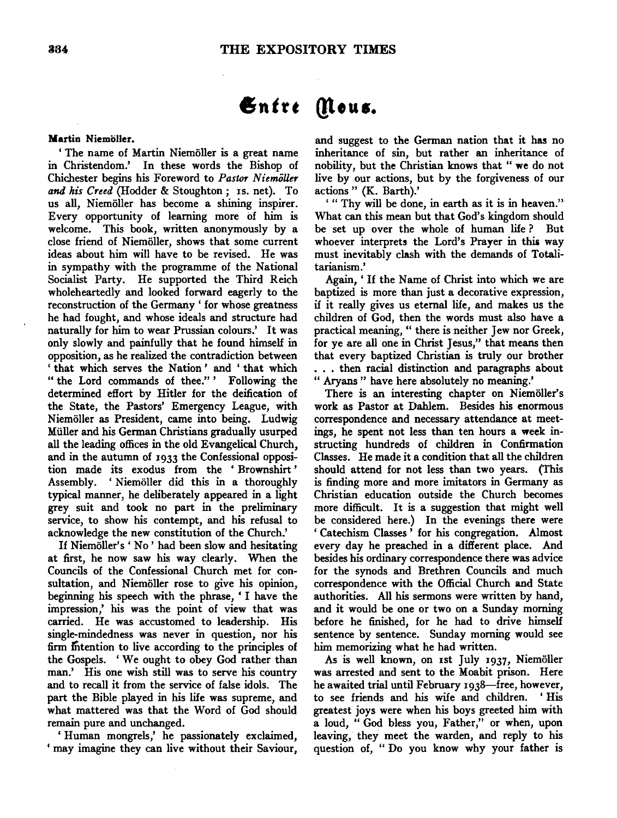# Entre Mous.

## Martin Niemoller.

'The name of Martin Niemoller is a great name in Christendom.' In these words the Bishop of Chichester begins his Foreword to *Pastor NiemiiUer and his Creed* (Hodder & Stoughton; IS. net). To us all, Niemoller has become a shining inspirer. Every opportunity of learning more of him is welcome. This book, written anonymously by a close friend of Niemoller, shows that some current ideas about him will have to be revised. He was in sympathy with the programme of the National Socialist Party. He supported the Third Reich wholeheartedly and looked forward eagerly to the reconstruction of the Germany ' for whose greatness he had fought, and whose ideals and structure had naturally for him to wear Prussian colours.' It was only slowly and painfully that he found himself in opposition, as he realized the contradiction between 'that which serves the Nation' and 'that which "the Lord commands of thee.''' Following the determined effort by Hitler for the deification of the State, the Pastors' Emergency League, with Niemoller as President, came into being. Ludwig Miiller and his German Christians gradually usurped all the leading offices in the old Evangelical Church, and in the autumn of 1933 the Confessional opposition made its exodus from the ' Brownshirt ' Assembly. 'Niemöller did this in a thoroughly typical manner, he deliberately appeared in a light grey suit and took no part in the preliminary service, to show his contempt, and his refusal to acknowledge the new constitution of the Church.'

If Niemoller's' No' had been slow and hesitating at first, he now saw his way clearly. When the Councils of the Confessional Church met for consultation, and Niemöller rose to give his opinion, beginning his speech with the phrase, 'I have the impression,' his was the point of view that was carried. He was accustomed to leadership. His single-mindedness was never in question, nor his firm Intention to live according to the principles of the Gospels. ' We ought to obey God rather than man.' His one wish still was to serve his country and to recall it from the service of false idols. The part the Bible played in his life was supreme, and what mattered was that the Word of God should remain pure and unchanged.

'Human mongrels,' he passionately exclaimed, 'may imagine they can live without their Saviour,

and suggest to the German nation that it has no inheritance of sin, but rather an inheritance of nobility, but the Christian knows that "we do not live by our actions, but by the forgiveness of our actions" (K. Barth).'

' " Thy will be done, in earth as it is in heaven.'' What can this mean but that God's kingdom should be set up over the whole of human life ? But whoever interprets the Lord's Prayer in this way must inevitably clash with the demands of Totalitarianism.'

Again,' If the Name of Christ into which we are baptized is more than just a decorative expression, if it really gives us eternal life, and makes us the children of God, then the words must also have a practical meaning, " there is neither Jew nor Greek, for ye are all one in Christ Jesus," that means then that every baptized Christian is truly our brother . . . then racial distinction and paragraphs about " Aryans " have here absolutely no meaning.'

There is an interesting chapter on Niemöller's work as Pastor at Dahlem. Besides his enormous correspondence and necessary attendance at meetings, he spent not less than ten hours a week instructing hundreds of children in Confirmation Classes. He made it a condition that all the children should attend for not less than two years. (This is finding more and more imitators in Germany as Christian education outside the Church becomes more difficult. It is a suggestion that might well be considered here.) In the evenings there were ' Catechism Classes ' for his congregation. Almost every day he preached in a different place. And besides his ordinary correspondence there was advice for the synods and Brethren Councils and much correspondence with the Official Church and State authorities. All his sermons were written by hand, and it would be one or two on a Sunday morning before he finished, for he had to drive himself sentence by sentence. Sunday morning would see him memorizing what he had written.

As is well known, on 1st July 1937, Niemöller was arrested and sent to the Moabit prison. Here he awaited trial until February 1938-free, however, to see friends and his wife and children. ' His greatest joys were when his boys greeted him with a loud, " God bless you, Father,'' or when, upon leaving, they meet the warden, and reply to his question of, " Do you know why your father is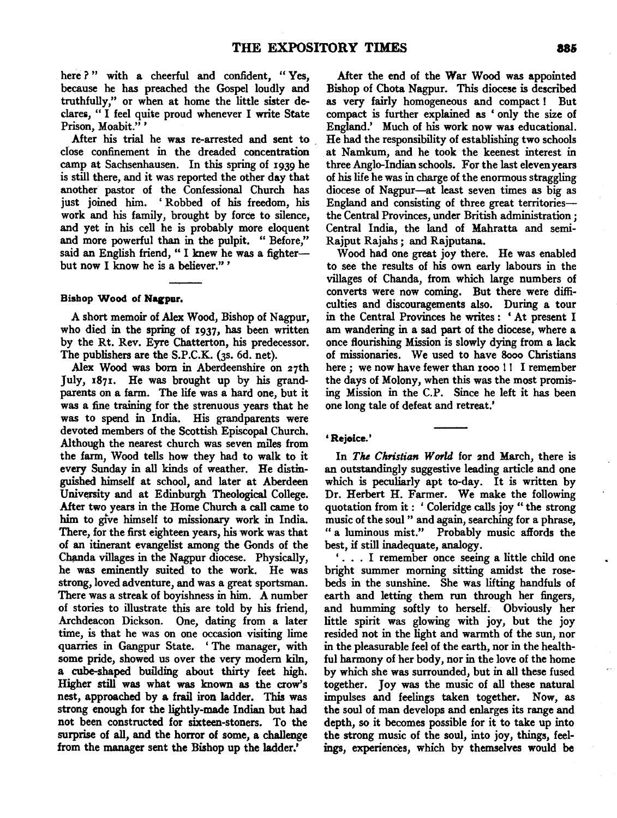here ?" with a cheerful and confident, "Yes, because he has preached the Gospel loudly and truthfully," or when at home the little sister declares, "I feel quite proud whenever I write State Prison, Moabit."'

After his trial he was re-arrested and sent to dose confinement in the dreaded concentration camp at Sachsenhausen. In this spring of 1939 he is still there, and it was reported the other day that another pastor of the Confessional Church has just joined him. 'Robbed of his freedom, his work and his family, brought by force to silence, and yet in his cell he is probably more eloquent and more powerful than in the pulpit. " Before," said an English friend, "I knew he was a fighterbut now I know he is a believer." '

# Bishop Wood of Nagpur.

A short memoir of Alex Wood, Bishop of Nagpur, who died in the spring of 1937, has been written by the Rt. Rev. Eyre Chatterton, his predecessor. The publishers are the S.P.C.K. (3s. 6d. net).

Alex Wood was born in Aberdeenshire on 27th July, 1871. He was brought up by his grandparents on a farm. The life was a hard one, but it was a fine training for the strenuous years that he was to spend in India. His grandparents were devoted members of the Scottish Episcopal Church. Although the nearest church was seven miles from the farm, Wood tells how they had to walk to it every Sunday in all kinds of weather. He distinguished himself at school, and later at Aberdeen University and at Edinburgh Theological College. After two years in the Home Church a call came to him to give himself to missionary work in India. There, for the first eighteen years, his work was that of an itinerant evangelist among the Gonds of the Chanda villages in the Nagpur diocese. Physically, he was eminently suited to the work. He was strong, loved adventure, and was a great sportsman. There was a streak of boyishness in him. A number of stories to illustrate this are told by his friend, Archdeacon Dickson. One, dating from a later time, is that he was on one occasion visiting lime quarries in Gangpur State. 'The manager, with some pride, showed us over the very modem kiln, a cube-shaped building about thirty feet high. Higher still was what was known as the crow's *nest,* approached by a frail iron ladder. This was strong enough for the lightly-made Indian but had not been constructed for sixteen-stoners. To the surprise of all, and the horror of some, a challenge from the manager sent the Bishop up the ladder.'

After the end of the War Wood was appointed Bishop of Chota Nagpur. This diocese is described as very fairly homogeneous and compact! But compact is further explained as ' only the size of England.' Much of his work now was educational. He had the responsibility of establishing two schools at Namkum, and he took the keenest interest in three Anglo-Indian schools. For the last eleven years of his life he was in charge of the enormous straggling diocese of Nagpur-at least seven times as big as England and consisting of three great territoriesthe Central Provinces, under British administration ; Central India, the land of Mahratta and semi-Rajput Rajahs; and Rajputana.

Wood had one great joy there. He was enabled to see the results of his own early labours in the villages of Chanda, from which large numbers of converts were now coming. But there were difficulties and discouragements also. During a tour in the Central Provinces he writes : ' At present I am wandering in a sad part of the diocese, where a once flourishing Mission is slowly dying from a lack of missionaries. We used to have 8ooo Christians here ; we now have fewer than 1000 !! I remember the days of Molony, when this was the most promising Mission in the C.P. Since he left it has been one long tale of defeat and retreat.'

### 'Rejoice.'

In *The Christian World* for 2nd March, there is an outstandingly suggestive leading article and one which is peculiarly apt to-day. It is written by Dr. Herbert H. Farmer. We make the following quotation from it : ' Coleridge calls joy " the strong music of the soul " and again, searching for a phrase, " a luminous mist.'' Probably music affords the best, if still inadequate, analogy.

' . . . I remember once seeing a little child one bright summer morning sitting amidst the rosebeds in the sunshine. She was lifting handfuls of earth and letting them run through her fingers, and humming softly to herself. Obviously her little spirit was glowing with joy, but the joy resided not in the light and warmth of the sun, nor in the pleasurable feel of the earth, nor in the healthful harmony of her body, nor in the love of the home by which she was surrounded, but in all these fused together. Joy was the music of all these natural impulses and feelings taken together. Now, as the soul of man develops and enlarges its range and depth, so it becomes possible for it to take up into the strong music of the soul, into joy, things, feelings, experiences, which by themselves would be